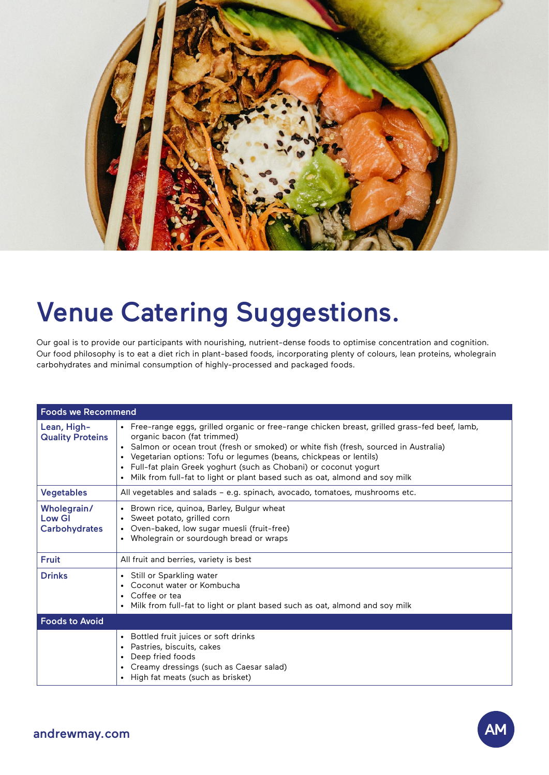

## Venue Catering Suggestions.

Our goal is to provide our participants with nourishing, nutrient-dense foods to optimise concentration and cognition. Our food philosophy is to eat a diet rich in plant-based foods, incorporating plenty of colours, lean proteins, wholegrain carbohydrates and minimal consumption of highly-processed and packaged foods.

| <b>Foods we Recommend</b>                            |                                                                                                                                                                                                                                                                                                                                                                                                                                                                        |  |
|------------------------------------------------------|------------------------------------------------------------------------------------------------------------------------------------------------------------------------------------------------------------------------------------------------------------------------------------------------------------------------------------------------------------------------------------------------------------------------------------------------------------------------|--|
| Lean, High-<br><b>Quality Proteins</b>               | • Free-range eggs, grilled organic or free-range chicken breast, grilled grass-fed beef, lamb,<br>organic bacon (fat trimmed)<br>Salmon or ocean trout (fresh or smoked) or white fish (fresh, sourced in Australia)<br>Vegetarian options: Tofu or legumes (beans, chickpeas or lentils)<br>Full-fat plain Greek yoghurt (such as Chobani) or coconut yogurt<br>$\bullet$<br>Milk from full-fat to light or plant based such as oat, almond and soy milk<br>$\bullet$ |  |
| <b>Vegetables</b>                                    | All vegetables and salads - e.g. spinach, avocado, tomatoes, mushrooms etc.                                                                                                                                                                                                                                                                                                                                                                                            |  |
| Wholegrain/<br><b>Low GI</b><br><b>Carbohydrates</b> | Brown rice, quinoa, Barley, Bulgur wheat<br>$\bullet$<br>• Sweet potato, grilled corn<br>Oven-baked, low sugar muesli (fruit-free)<br>Wholegrain or sourdough bread or wraps<br>$\bullet$                                                                                                                                                                                                                                                                              |  |
| <b>Fruit</b>                                         | All fruit and berries, variety is best                                                                                                                                                                                                                                                                                                                                                                                                                                 |  |
| <b>Drinks</b>                                        | Still or Sparkling water<br>$\bullet$<br>Coconut water or Kombucha<br>$\bullet$<br>Coffee or tea<br>$\bullet$<br>Milk from full-fat to light or plant based such as oat, almond and soy milk<br>$\bullet$                                                                                                                                                                                                                                                              |  |
| <b>Foods to Avoid</b>                                |                                                                                                                                                                                                                                                                                                                                                                                                                                                                        |  |
|                                                      | Bottled fruit juices or soft drinks<br>$\bullet$<br>Pastries, biscuits, cakes<br>Deep fried foods<br>$\bullet$<br>Creamy dressings (such as Caesar salad)<br>$\bullet$<br>High fat meats (such as brisket)<br>$\bullet$                                                                                                                                                                                                                                                |  |